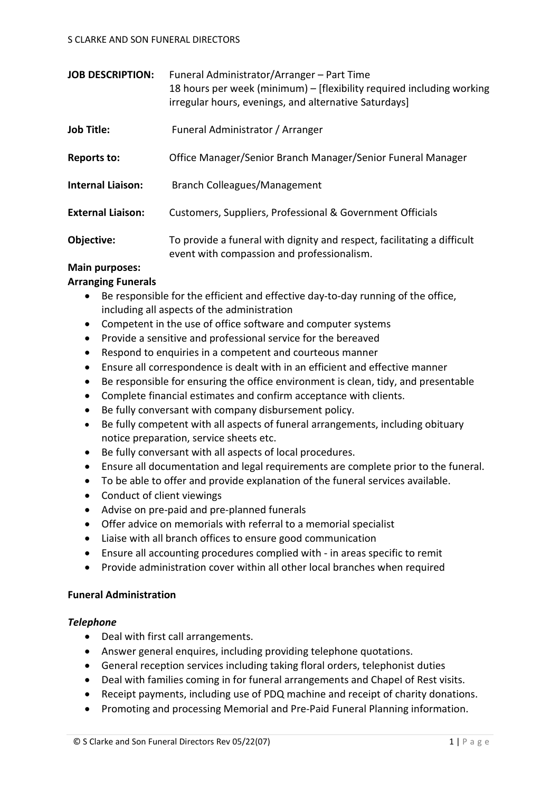| <b>JOB DESCRIPTION:</b>  | Funeral Administrator/Arranger - Part Time<br>18 hours per week (minimum) – [flexibility required including working<br>irregular hours, evenings, and alternative Saturdays] |
|--------------------------|------------------------------------------------------------------------------------------------------------------------------------------------------------------------------|
| <b>Job Title:</b>        | Funeral Administrator / Arranger                                                                                                                                             |
| <b>Reports to:</b>       | Office Manager/Senior Branch Manager/Senior Funeral Manager                                                                                                                  |
| <b>Internal Liaison:</b> | Branch Colleagues/Management                                                                                                                                                 |
| <b>External Liaison:</b> | Customers, Suppliers, Professional & Government Officials                                                                                                                    |
| Objective:               | To provide a funeral with dignity and respect, facilitating a difficult<br>event with compassion and professionalism.                                                        |

# **Main purposes:**

## **Arranging Funerals**

- Be responsible for the efficient and effective day-to-day running of the office, including all aspects of the administration
- Competent in the use of office software and computer systems
- Provide a sensitive and professional service for the bereaved
- Respond to enquiries in a competent and courteous manner
- Ensure all correspondence is dealt with in an efficient and effective manner
- Be responsible for ensuring the office environment is clean, tidy, and presentable
- Complete financial estimates and confirm acceptance with clients.
- Be fully conversant with company disbursement policy.
- Be fully competent with all aspects of funeral arrangements, including obituary notice preparation, service sheets etc.
- Be fully conversant with all aspects of local procedures.
- Ensure all documentation and legal requirements are complete prior to the funeral.
- To be able to offer and provide explanation of the funeral services available.
- Conduct of client viewings
- Advise on pre-paid and pre-planned funerals
- Offer advice on memorials with referral to a memorial specialist
- Liaise with all branch offices to ensure good communication
- Ensure all accounting procedures complied with in areas specific to remit
- Provide administration cover within all other local branches when required

#### **Funeral Administration**

#### *Telephone*

- Deal with first call arrangements.
- Answer general enquires, including providing telephone quotations.
- General reception services including taking floral orders, telephonist duties
- Deal with families coming in for funeral arrangements and Chapel of Rest visits.
- Receipt payments, including use of PDQ machine and receipt of charity donations.
- Promoting and processing Memorial and Pre-Paid Funeral Planning information.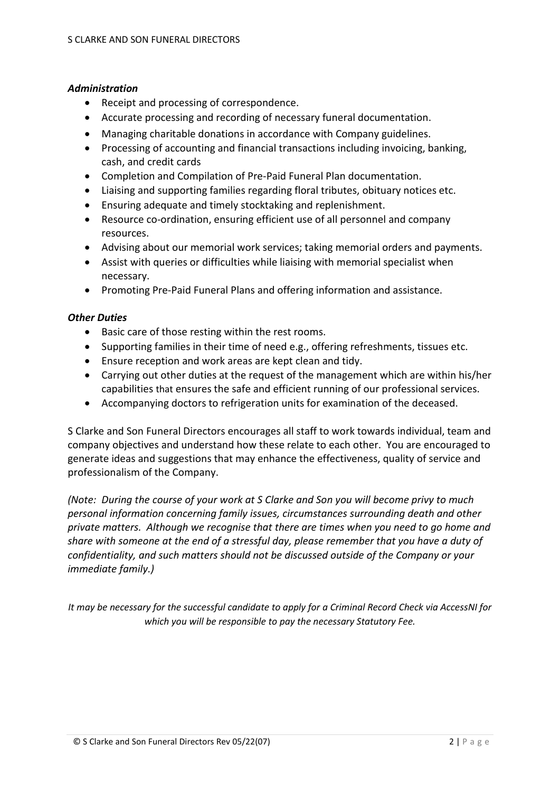#### *Administration*

- Receipt and processing of correspondence.
- Accurate processing and recording of necessary funeral documentation.
- Managing charitable donations in accordance with Company guidelines.
- Processing of accounting and financial transactions including invoicing, banking, cash, and credit cards
- Completion and Compilation of Pre-Paid Funeral Plan documentation.
- Liaising and supporting families regarding floral tributes, obituary notices etc.
- Ensuring adequate and timely stocktaking and replenishment.
- Resource co-ordination, ensuring efficient use of all personnel and company resources.
- Advising about our memorial work services; taking memorial orders and payments.
- Assist with queries or difficulties while liaising with memorial specialist when necessary.
- Promoting Pre-Paid Funeral Plans and offering information and assistance.

#### *Other Duties*

- Basic care of those resting within the rest rooms.
- Supporting families in their time of need e.g., offering refreshments, tissues etc.
- Ensure reception and work areas are kept clean and tidy.
- Carrying out other duties at the request of the management which are within his/her capabilities that ensures the safe and efficient running of our professional services.
- Accompanying doctors to refrigeration units for examination of the deceased.

S Clarke and Son Funeral Directors encourages all staff to work towards individual, team and company objectives and understand how these relate to each other. You are encouraged to generate ideas and suggestions that may enhance the effectiveness, quality of service and professionalism of the Company.

*(Note: During the course of your work at S Clarke and Son you will become privy to much personal information concerning family issues, circumstances surrounding death and other private matters. Although we recognise that there are times when you need to go home and share with someone at the end of a stressful day, please remember that you have a duty of confidentiality, and such matters should not be discussed outside of the Company or your immediate family.)*

*It may be necessary for the successful candidate to apply for a Criminal Record Check via AccessNI for which you will be responsible to pay the necessary Statutory Fee.*